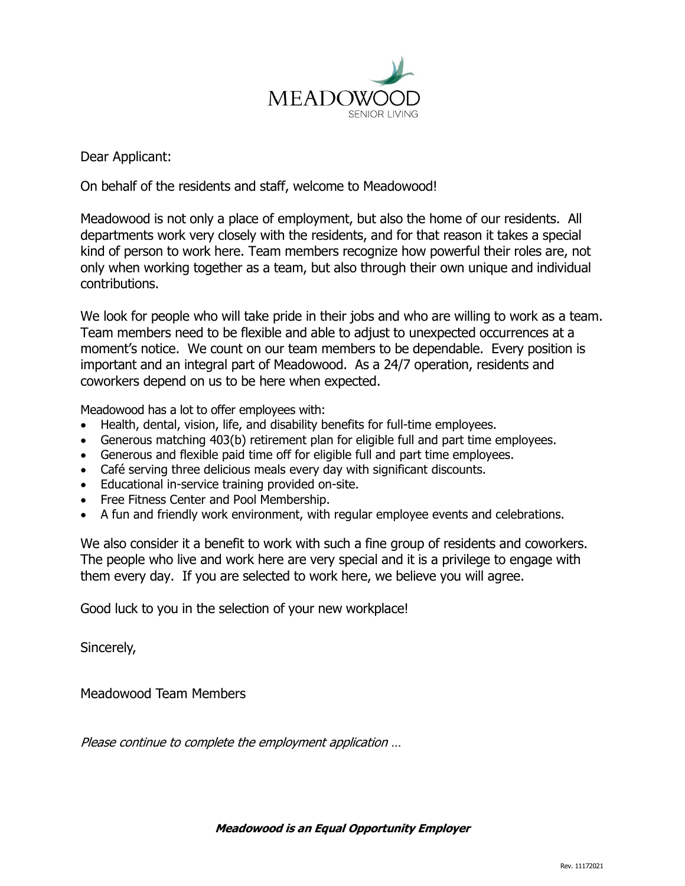

Dear Applicant:

On behalf of the residents and staff, welcome to Meadowood!

Meadowood is not only a place of employment, but also the home of our residents. All departments work very closely with the residents, and for that reason it takes a special kind of person to work here. Team members recognize how powerful their roles are, not only when working together as a team, but also through their own unique and individual contributions.

We look for people who will take pride in their jobs and who are willing to work as a team. Team members need to be flexible and able to adjust to unexpected occurrences at a moment's notice. We count on our team members to be dependable. Every position is important and an integral part of Meadowood. As a 24/7 operation, residents and coworkers depend on us to be here when expected.

Meadowood has a lot to offer employees with:

- Health, dental, vision, life, and disability benefits for full-time employees.
- Generous matching 403(b) retirement plan for eligible full and part time employees.
- Generous and flexible paid time off for eligible full and part time employees.
- Café serving three delicious meals every day with significant discounts.
- Educational in-service training provided on-site.
- Free Fitness Center and Pool Membership.
- A fun and friendly work environment, with regular employee events and celebrations.

We also consider it a benefit to work with such a fine group of residents and coworkers. The people who live and work here are very special and it is a privilege to engage with them every day. If you are selected to work here, we believe you will agree.

Good luck to you in the selection of your new workplace!

Sincerely,

Meadowood Team Members

Please continue to complete the employment application …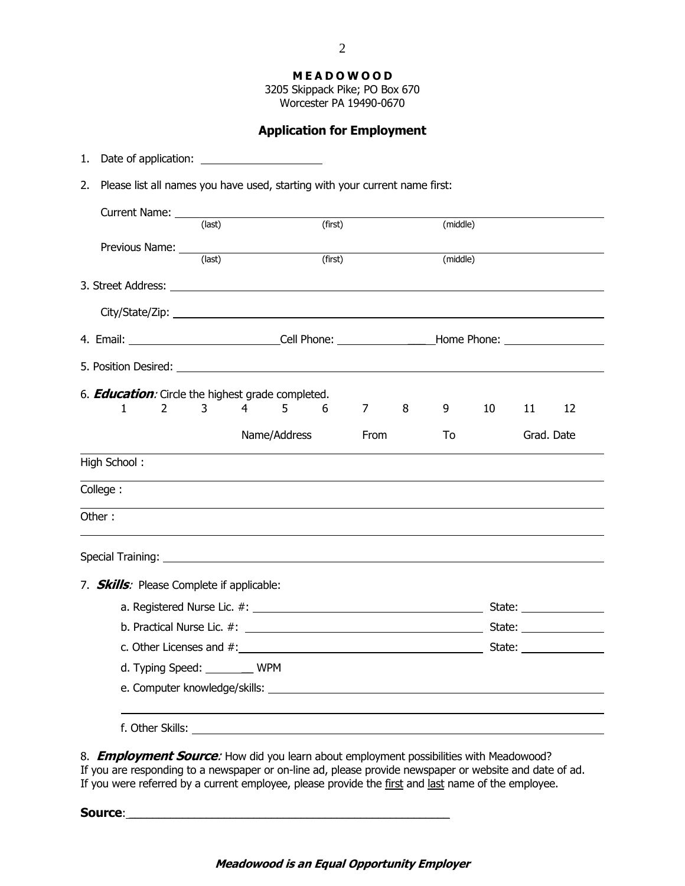**M E A D O W O O D**

3205 Skippack Pike; PO Box 670 Worcester PA 19490-0670

### **Application for Employment**

- 1. Date of application:
- 2. Please list all names you have used, starting with your current name first:

| Current Name: _____                                                                                                                                                                                                            |                   |   |              |         |          |                                                                                   |    |    |            |    |
|--------------------------------------------------------------------------------------------------------------------------------------------------------------------------------------------------------------------------------|-------------------|---|--------------|---------|----------|-----------------------------------------------------------------------------------|----|----|------------|----|
|                                                                                                                                                                                                                                | (last)<br>(first) |   |              |         | (middle) |                                                                                   |    |    |            |    |
|                                                                                                                                                                                                                                |                   |   |              | (first) |          |                                                                                   |    |    |            |    |
|                                                                                                                                                                                                                                |                   |   |              |         |          | (middle)                                                                          |    |    |            |    |
|                                                                                                                                                                                                                                |                   |   |              |         |          |                                                                                   |    |    |            |    |
|                                                                                                                                                                                                                                |                   |   |              |         |          |                                                                                   |    |    |            |    |
|                                                                                                                                                                                                                                |                   |   |              |         |          | 4. Email: _______________________________Cell Phone: ____________________________ |    |    |            |    |
| 5. Position Desired: University of the Second Second Second Second Second Second Second Second Second Second Second Second Second Second Second Second Second Second Second Second Second Second Second Second Second Second S |                   |   |              |         |          |                                                                                   |    |    |            |    |
| 6. <b>Education</b> : Circle the highest grade completed.                                                                                                                                                                      |                   |   |              |         |          |                                                                                   |    |    |            |    |
| 1<br>2                                                                                                                                                                                                                         | 3                 | 4 | 5.           | 6       | 7        | 8                                                                                 | 9  | 10 | 11         | 12 |
|                                                                                                                                                                                                                                |                   |   | Name/Address |         | From     |                                                                                   | To |    | Grad. Date |    |
| High School:                                                                                                                                                                                                                   |                   |   |              |         |          |                                                                                   |    |    |            |    |
| College:                                                                                                                                                                                                                       |                   |   |              |         |          |                                                                                   |    |    |            |    |
| Other:                                                                                                                                                                                                                         |                   |   |              |         |          |                                                                                   |    |    |            |    |
|                                                                                                                                                                                                                                |                   |   |              |         |          |                                                                                   |    |    |            |    |
| 7. <b>Skills</b> : Please Complete if applicable:                                                                                                                                                                              |                   |   |              |         |          |                                                                                   |    |    |            |    |
|                                                                                                                                                                                                                                |                   |   |              |         |          |                                                                                   |    |    |            |    |
|                                                                                                                                                                                                                                |                   |   |              |         |          |                                                                                   |    |    |            |    |
|                                                                                                                                                                                                                                |                   |   |              |         |          |                                                                                   |    |    |            |    |
| d. Typing Speed: _________ WPM                                                                                                                                                                                                 |                   |   |              |         |          |                                                                                   |    |    |            |    |
|                                                                                                                                                                                                                                |                   |   |              |         |          |                                                                                   |    |    |            |    |
|                                                                                                                                                                                                                                |                   |   |              |         |          |                                                                                   |    |    |            |    |
|                                                                                                                                                                                                                                |                   |   |              |         |          |                                                                                   |    |    |            |    |

8. **Employment Source**: How did you learn about employment possibilities with Meadowood? If you are responding to a newspaper or on-line ad, please provide newspaper or website and date of ad. If you were referred by a current employee, please provide the first and last name of the employee.

Source:

#### **Meadowood is an Equal Opportunity Employer**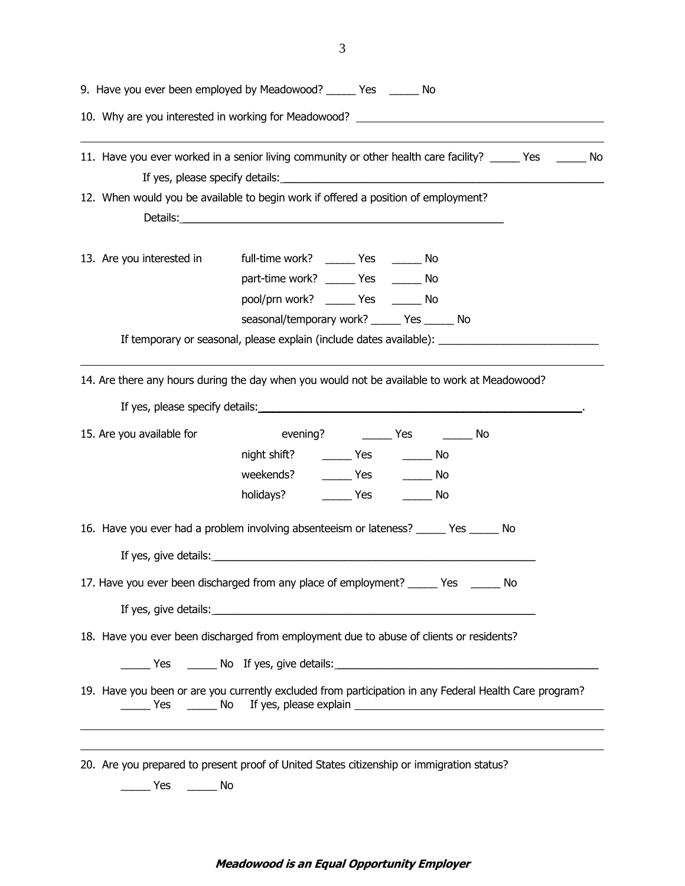|                           | 9. Have you ever been employed by Meadowood? _____ Yes _____ No                                                                                                                                                                                                                                                                 |
|---------------------------|---------------------------------------------------------------------------------------------------------------------------------------------------------------------------------------------------------------------------------------------------------------------------------------------------------------------------------|
|                           | 10. Why are you interested in working for Meadowood? ___________________________                                                                                                                                                                                                                                                |
|                           | 11. Have you ever worked in a senior living community or other health care facility? _____ Yes ______ No                                                                                                                                                                                                                        |
|                           | 12. When would you be available to begin work if offered a position of employment?                                                                                                                                                                                                                                              |
| 13. Are you interested in | full-time work? ______ Yes ______ No<br>part-time work? ______ Yes ______ No<br>pool/prn work? _______ Yes _______ No<br>seasonal/temporary work? ______ Yes ______ No                                                                                                                                                          |
|                           | If temporary or seasonal, please explain (include dates available): ________________________________                                                                                                                                                                                                                            |
|                           | 14. Are there any hours during the day when you would not be available to work at Meadowood?                                                                                                                                                                                                                                    |
| 15. Are you available for | night shift? _________ Yes __________ No<br>weekends? ________ Yes ________ No<br>holidays? ___________ Yes ___________ No                                                                                                                                                                                                      |
|                           | 16. Have you ever had a problem involving absenteeism or lateness? ______ Yes ______ No                                                                                                                                                                                                                                         |
|                           | 17. Have you ever been discharged from any place of employment? _______ Yes _____<br>No<br>If yes, give details: <u>example and a series of the series of the series of the series of the series of the series of the series of the series of the series of the series of the series of the series of the series of the ser</u> |
|                           | 18. Have you ever been discharged from employment due to abuse of clients or residents?                                                                                                                                                                                                                                         |
|                           | 19. Have you been or are you currently excluded from participation in any Federal Health Care program?                                                                                                                                                                                                                          |
| Yes $\_\_$                | 20. Are you prepared to present proof of United States citizenship or immigration status?<br>No                                                                                                                                                                                                                                 |

3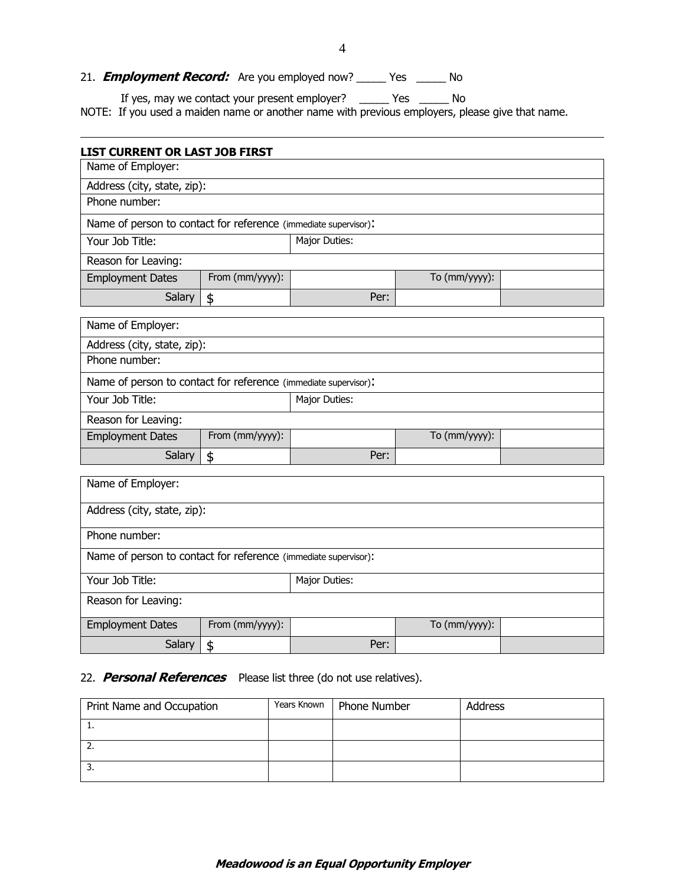# 21. **Employment Record:** Are you employed now? \_\_\_\_\_ Yes \_\_\_\_\_ No

If yes, may we contact your present employer? \_\_\_\_\_ Yes \_\_\_\_\_ No

NOTE: If you used a maiden name or another name with previous employers, please give that name.

| <b>LIST CURRENT OR LAST JOB FIRST</b>                           |                 |               |               |  |  |  |
|-----------------------------------------------------------------|-----------------|---------------|---------------|--|--|--|
| Name of Employer:                                               |                 |               |               |  |  |  |
| Address (city, state, zip):                                     |                 |               |               |  |  |  |
| Phone number:                                                   |                 |               |               |  |  |  |
| Name of person to contact for reference (immediate supervisor): |                 |               |               |  |  |  |
| Your Job Title:                                                 |                 | Major Duties: |               |  |  |  |
| Reason for Leaving:                                             |                 |               |               |  |  |  |
| <b>Employment Dates</b>                                         | From (mm/yyyy): |               | To (mm/yyyy): |  |  |  |
| Salary                                                          | \$              | Per:          |               |  |  |  |
| Name of Employer:                                               |                 |               |               |  |  |  |
| Address (city, state, zip):                                     |                 |               |               |  |  |  |
| Phone number:                                                   |                 |               |               |  |  |  |
| Name of person to contact for reference (immediate supervisor): |                 |               |               |  |  |  |
| Your Job Title:                                                 |                 | Major Duties: |               |  |  |  |
| Reason for Leaving:                                             |                 |               |               |  |  |  |
| <b>Employment Dates</b>                                         | From (mm/yyyy): |               | To (mm/yyyy): |  |  |  |
| Salary                                                          | \$              | Per:          |               |  |  |  |
| Name of Employer:                                               |                 |               |               |  |  |  |
| Address (city, state, zip):                                     |                 |               |               |  |  |  |
| Phone number:                                                   |                 |               |               |  |  |  |
| Name of person to contact for reference (immediate supervisor): |                 |               |               |  |  |  |
| Your Job Title:                                                 |                 | Major Duties: |               |  |  |  |
| Reason for Leaving:                                             |                 |               |               |  |  |  |
| <b>Employment Dates</b>                                         | From (mm/yyyy): |               | To (mm/yyyy): |  |  |  |
| Salary<br>\$                                                    |                 | Per:          |               |  |  |  |

# 22. **Personal References** Please list three (do not use relatives).

| Print Name and Occupation | Years Known | Phone Number | <b>Address</b> |
|---------------------------|-------------|--------------|----------------|
| . .                       |             |              |                |
| <u>.</u>                  |             |              |                |
| .ر                        |             |              |                |